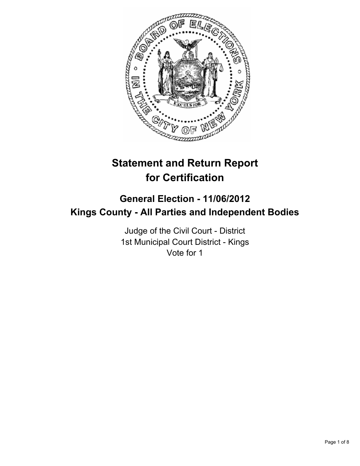

# **Statement and Return Report for Certification**

## **General Election - 11/06/2012 Kings County - All Parties and Independent Bodies**

Judge of the Civil Court - District 1st Municipal Court District - Kings Vote for 1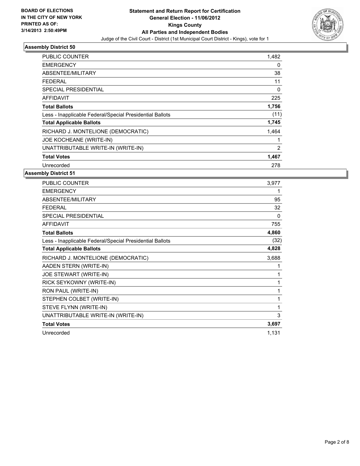

| <b>PUBLIC COUNTER</b>                                    | 1,482 |
|----------------------------------------------------------|-------|
| <b>EMERGENCY</b>                                         | 0     |
| ABSENTEE/MILITARY                                        | 38    |
| <b>FEDERAL</b>                                           | 11    |
| <b>SPECIAL PRESIDENTIAL</b>                              | 0     |
| <b>AFFIDAVIT</b>                                         | 225   |
| <b>Total Ballots</b>                                     | 1,756 |
| Less - Inapplicable Federal/Special Presidential Ballots | (11)  |
| <b>Total Applicable Ballots</b>                          | 1,745 |
| RICHARD J. MONTELIONE (DEMOCRATIC)                       | 1,464 |
| JOE KOCHEANE (WRITE-IN)                                  | 1     |
| UNATTRIBUTABLE WRITE-IN (WRITE-IN)                       | 2     |
| <b>Total Votes</b>                                       | 1,467 |
| Unrecorded                                               | 278   |

| <b>PUBLIC COUNTER</b>                                    | 3,977 |
|----------------------------------------------------------|-------|
| <b>EMERGENCY</b>                                         | 1     |
| ABSENTEE/MILITARY                                        | 95    |
| <b>FEDERAL</b>                                           | 32    |
| SPECIAL PRESIDENTIAL                                     | 0     |
| <b>AFFIDAVIT</b>                                         | 755   |
| <b>Total Ballots</b>                                     | 4,860 |
| Less - Inapplicable Federal/Special Presidential Ballots | (32)  |
| <b>Total Applicable Ballots</b>                          | 4,828 |
| RICHARD J. MONTELIONE (DEMOCRATIC)                       | 3,688 |
| AADEN STERN (WRITE-IN)                                   | 1     |
| JOE STEWART (WRITE-IN)                                   | 1     |
| RICK SEYKOWNY (WRITE-IN)                                 | 1     |
| RON PAUL (WRITE-IN)                                      | 1     |
| STEPHEN COLBET (WRITE-IN)                                | 1     |
| STEVE FLYNN (WRITE-IN)                                   | 1     |
| UNATTRIBUTABLE WRITE-IN (WRITE-IN)                       | 3     |
| <b>Total Votes</b>                                       | 3,697 |
| Unrecorded                                               | 1,131 |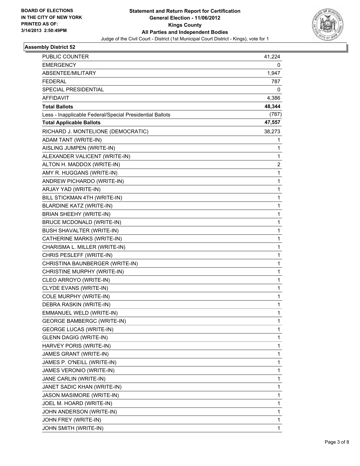

| PUBLIC COUNTER                                           | 41,224 |
|----------------------------------------------------------|--------|
| <b>EMERGENCY</b>                                         | 0      |
| ABSENTEE/MILITARY                                        | 1,947  |
| <b>FEDERAL</b>                                           | 787    |
| SPECIAL PRESIDENTIAL                                     | 0      |
| AFFIDAVIT                                                | 4,386  |
| <b>Total Ballots</b>                                     | 48,344 |
| Less - Inapplicable Federal/Special Presidential Ballots | (787)  |
| <b>Total Applicable Ballots</b>                          | 47,557 |
| RICHARD J. MONTELIONE (DEMOCRATIC)                       | 38,273 |
| ADAM TANT (WRITE-IN)                                     | 1      |
| AISLING JUMPEN (WRITE-IN)                                | 1      |
| ALEXANDER VALICENT (WRITE-IN)                            | 1      |
| ALTON H. MADDOX (WRITE-IN)                               | 2      |
| AMY R. HUGGANS (WRITE-IN)                                | 1      |
| ANDREW PICHARDO (WRITE-IN)                               | 1      |
| ARJAY YAD (WRITE-IN)                                     | 1      |
| BILL STICKMAN 4TH (WRITE-IN)                             | 1      |
| <b>BLARDINE KATZ (WRITE-IN)</b>                          | 1      |
| BRIAN SHEEHY (WRITE-IN)                                  | 1      |
| <b>BRUCE MCDONALD (WRITE-IN)</b>                         | 1      |
| <b>BUSH SHAVALTER (WRITE-IN)</b>                         | 1      |
| CATHERINE MARKS (WRITE-IN)                               | 1      |
| CHARISMA L. MILLER (WRITE-IN)                            | 1      |
| CHRIS PESLEFF (WRITE-IN)                                 | 1      |
| CHRISTINA BAUNBERGER (WRITE-IN)                          | 1      |
| CHRISTINE MURPHY (WRITE-IN)                              | 1      |
| CLEO ARROYO (WRITE-IN)                                   | 1      |
| CLYDE EVANS (WRITE-IN)                                   | 1      |
| COLE MURPHY (WRITE-IN)                                   | 1      |
| DEBRA RASKIN (WRITE-IN)                                  | 1      |
| EMMANUEL WELD (WRITE-IN)                                 | 1      |
| <b>GEORGE BAMBERGC (WRITE-IN)</b>                        | 1      |
| <b>GEORGE LUCAS (WRITE-IN)</b>                           | 1      |
| <b>GLENN DAGIG (WRITE-IN)</b>                            | 1      |
| HARVEY PORIS (WRITE-IN)                                  | 1      |
| JAMES GRANT (WRITE-IN)                                   | 1      |
| JAMES P. O'NEILL (WRITE-IN)                              | 1      |
| JAMES VERONIO (WRITE-IN)                                 | 1      |
| JANE CARLIN (WRITE-IN)                                   | 1      |
| JANET SADIC KHAN (WRITE-IN)                              | 1      |
| JASON MASIMORE (WRITE-IN)                                | 1      |
| JOEL M. HOARD (WRITE-IN)                                 | 1      |
| JOHN ANDERSON (WRITE-IN)                                 | 1      |
| JOHN FREY (WRITE-IN)                                     | 1      |
| JOHN SMITH (WRITE-IN)                                    | 1      |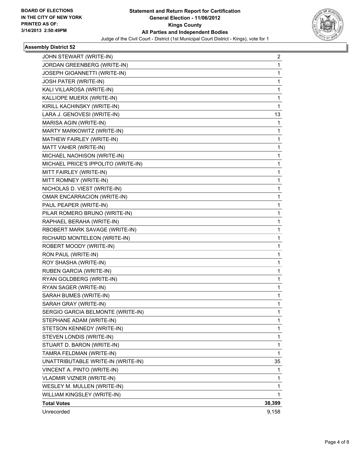

| JOHN STEWART (WRITE-IN)             | 2      |
|-------------------------------------|--------|
| JORDAN GREENBERG (WRITE-IN)         | 1      |
| JOSEPH GIOANNETTI (WRITE-IN)        | 1      |
| JOSH PATER (WRITE-IN)               | 1      |
| KALI VILLAROSA (WRITE-IN)           | 1      |
| KALLIOPE MUERX (WRITE-IN)           | 1      |
| KIRILL KACHINSKY (WRITE-IN)         | 1      |
| LARA J. GENOVESI (WRITE-IN)         | 13     |
| MARISA AGIN (WRITE-IN)              | 1      |
| MARTY MARKOWITZ (WRITE-IN)          | 1      |
| MATHEW FAIRLEY (WRITE-IN)           | 1      |
| MATT VAHER (WRITE-IN)               | 1      |
| MICHAEL NAOHISON (WRITE-IN)         | 1      |
| MICHAEL PRICE'S IPPOLITO (WRITE-IN) | 1      |
| MITT FAIRLEY (WRITE-IN)             | 1      |
| MITT ROMNEY (WRITE-IN)              | 1      |
| NICHOLAS D. VIEST (WRITE-IN)        | 1      |
| OMAR ENCARRACION (WRITE-IN)         | 1      |
| PAUL PEAPER (WRITE-IN)              | 1      |
| PILAR ROMERO BRUNO (WRITE-IN)       | 1      |
| RAPHAEL BERAHA (WRITE-IN)           | 1      |
| RBOBERT MARK SAVAGE (WRITE-IN)      | 1      |
| RICHARD MONTELEON (WRITE-IN)        | 1      |
| ROBERT MOODY (WRITE-IN)             | 1      |
| RON PAUL (WRITE-IN)                 | 1      |
| ROY SHASHA (WRITE-IN)               | 1      |
| RUBEN GARCIA (WRITE-IN)             | 1      |
| RYAN GOLDBERG (WRITE-IN)            | 1      |
| RYAN SAGER (WRITE-IN)               | 1      |
| SARAH BUMES (WRITE-IN)              | 1      |
| SARAH GRAY (WRITE-IN)               | 1      |
| SERGIO GARCIA BELMONTE (WRITE-IN)   | 1      |
| STEPHANE ADAM (WRITE-IN)            | 1      |
| STETSON KENNEDY (WRITE-IN)          | 1      |
| STEVEN LONDIS (WRITE-IN)            | 1      |
| STUART D. BARON (WRITE-IN)          | 1      |
| TAMRA FELDMAN (WRITE-IN)            | 1      |
| UNATTRIBUTABLE WRITE-IN (WRITE-IN)  | 35     |
| VINCENT A. PINTO (WRITE-IN)         | 1      |
| <b>VLADMIR VIZNER (WRITE-IN)</b>    | 1      |
| WESLEY M. MULLEN (WRITE-IN)         | 1      |
| WILLIAM KINGSLEY (WRITE-IN)         | 1      |
| <b>Total Votes</b>                  | 38,399 |
| Unrecorded                          | 9,158  |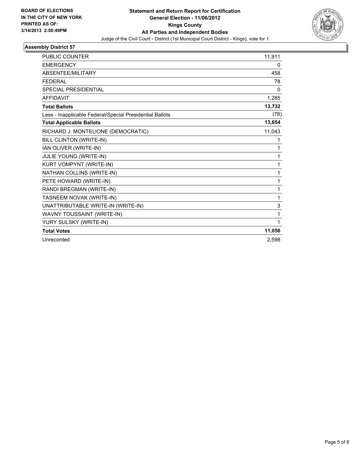

| <b>PUBLIC COUNTER</b>                                    | 11,911 |
|----------------------------------------------------------|--------|
| <b>EMERGENCY</b>                                         | 0      |
| ABSENTEE/MILITARY                                        | 458    |
| <b>FEDERAL</b>                                           | 78     |
| SPECIAL PRESIDENTIAL                                     | 0      |
| <b>AFFIDAVIT</b>                                         | 1,285  |
| <b>Total Ballots</b>                                     | 13,732 |
| Less - Inapplicable Federal/Special Presidential Ballots | (78)   |
| <b>Total Applicable Ballots</b>                          | 13,654 |
| RICHARD J. MONTELIONE (DEMOCRATIC)                       | 11,043 |
| BILL CLINTON (WRITE-IN)                                  | 1      |
| IAN OLIVER (WRITE-IN)                                    | 1      |
| JULIE YOUNG (WRITE-IN)                                   | 1      |
| KURT VOMPYNT (WRITE-IN)                                  | 1      |
| NATHAN COLLINS (WRITE-IN)                                | 1      |
| PETE HOWARD (WRITE-IN)                                   | 1      |
| RANDI BREGMAN (WRITE-IN)                                 | 1      |
| TASNEEM NOVAK (WRITE-IN)                                 | 1      |
| UNATTRIBUTABLE WRITE-IN (WRITE-IN)                       | 3      |
| WAVNY TOUSSAINT (WRITE-IN)                               | 1      |
| YURY SULSKY (WRITE-IN)                                   | 1      |
| <b>Total Votes</b>                                       | 11,056 |
| Unrecorded                                               | 2,598  |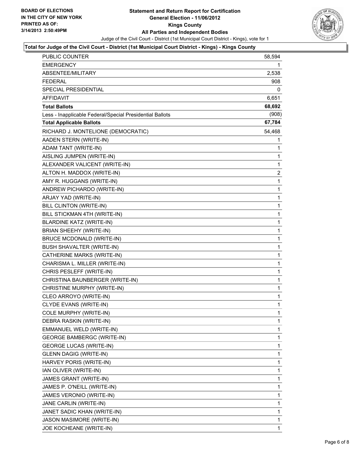

### **Total for Judge of the Civil Court - District (1st Municipal Court District - Kings) - Kings County**

| <b>PUBLIC COUNTER</b>                                    | 58,594         |
|----------------------------------------------------------|----------------|
| EMERGENCY                                                | 1              |
| ABSENTEE/MILITARY                                        | 2,538          |
| <b>FEDERAL</b>                                           | 908            |
| SPECIAL PRESIDENTIAL                                     | 0              |
| <b>AFFIDAVIT</b>                                         | 6,651          |
| <b>Total Ballots</b>                                     | 68,692         |
| Less - Inapplicable Federal/Special Presidential Ballots | (908)          |
| <b>Total Applicable Ballots</b>                          | 67,784         |
| RICHARD J. MONTELIONE (DEMOCRATIC)                       | 54,468         |
| AADEN STERN (WRITE-IN)                                   | 1              |
| ADAM TANT (WRITE-IN)                                     | 1              |
| AISLING JUMPEN (WRITE-IN)                                | 1              |
| ALEXANDER VALICENT (WRITE-IN)                            | $\mathbf 1$    |
| ALTON H. MADDOX (WRITE-IN)                               | $\overline{2}$ |
| AMY R. HUGGANS (WRITE-IN)                                | 1              |
| ANDREW PICHARDO (WRITE-IN)                               | 1              |
| ARJAY YAD (WRITE-IN)                                     | $\mathbf{1}$   |
| BILL CLINTON (WRITE-IN)                                  | 1              |
| BILL STICKMAN 4TH (WRITE-IN)                             | 1              |
| <b>BLARDINE KATZ (WRITE-IN)</b>                          | $\mathbf 1$    |
| BRIAN SHEEHY (WRITE-IN)                                  | 1              |
| <b>BRUCE MCDONALD (WRITE-IN)</b>                         | 1              |
| <b>BUSH SHAVALTER (WRITE-IN)</b>                         | $\mathbf 1$    |
| CATHERINE MARKS (WRITE-IN)                               | 1              |
| CHARISMA L. MILLER (WRITE-IN)                            | 1              |
| CHRIS PESLEFF (WRITE-IN)                                 | $\mathbf 1$    |
| CHRISTINA BAUNBERGER (WRITE-IN)                          | 1              |
| CHRISTINE MURPHY (WRITE-IN)                              | 1              |
| CLEO ARROYO (WRITE-IN)                                   | $\mathbf{1}$   |
| CLYDE EVANS (WRITE-IN)                                   | 1              |
| COLE MURPHY (WRITE-IN)                                   | $\mathbf{1}$   |
| DEBRA RASKIN (WRITE-IN)                                  | 1              |
| EMMANUEL WELD (WRITE-IN)                                 | 1              |
| <b>GEORGE BAMBERGC (WRITE-IN)</b>                        | 1              |
| <b>GEORGE LUCAS (WRITE-IN)</b>                           | 1              |
| <b>GLENN DAGIG (WRITE-IN)</b>                            | 1              |
| HARVEY PORIS (WRITE-IN)                                  | 1              |
| IAN OLIVER (WRITE-IN)                                    | 1              |
| JAMES GRANT (WRITE-IN)                                   | 1              |
| JAMES P. O'NEILL (WRITE-IN)                              | 1              |
| JAMES VERONIO (WRITE-IN)                                 | 1              |
| JANE CARLIN (WRITE-IN)                                   | 1              |
| JANET SADIC KHAN (WRITE-IN)                              | 1              |
| JASON MASIMORE (WRITE-IN)                                | 1              |
| JOE KOCHEANE (WRITE-IN)                                  | 1              |
|                                                          |                |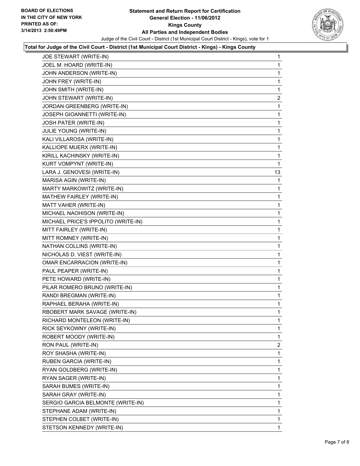

### **Total for Judge of the Civil Court - District (1st Municipal Court District - Kings) - Kings County**

| JOE STEWART (WRITE-IN)              | 1                            |
|-------------------------------------|------------------------------|
| JOEL M. HOARD (WRITE-IN)            | 1                            |
| JOHN ANDERSON (WRITE-IN)            | 1                            |
| JOHN FREY (WRITE-IN)                | 1                            |
| JOHN SMITH (WRITE-IN)               | 1                            |
| JOHN STEWART (WRITE-IN)             | 2                            |
| JORDAN GREENBERG (WRITE-IN)         | 1                            |
| JOSEPH GIOANNETTI (WRITE-IN)        | 1                            |
| JOSH PATER (WRITE-IN)               | 1                            |
| JULIE YOUNG (WRITE-IN)              | 1                            |
| KALI VILLAROSA (WRITE-IN)           | 1                            |
| KALLIOPE MUERX (WRITE-IN)           | 1                            |
| KIRILL KACHINSKY (WRITE-IN)         | 1                            |
| KURT VOMPYNT (WRITE-IN)             | 1                            |
| LARA J. GENOVESI (WRITE-IN)         | 13                           |
| MARISA AGIN (WRITE-IN)              | 1                            |
| MARTY MARKOWITZ (WRITE-IN)          | 1                            |
| MATHEW FAIRLEY (WRITE-IN)           | 1                            |
| MATT VAHER (WRITE-IN)               | 1                            |
| MICHAEL NAOHISON (WRITE-IN)         | 1                            |
| MICHAEL PRICE'S IPPOLITO (WRITE-IN) | 1                            |
| MITT FAIRLEY (WRITE-IN)             | 1                            |
| MITT ROMNEY (WRITE-IN)              | 1                            |
| NATHAN COLLINS (WRITE-IN)           | 1                            |
| NICHOLAS D. VIEST (WRITE-IN)        | 1                            |
| OMAR ENCARRACION (WRITE-IN)         | 1                            |
| PAUL PEAPER (WRITE-IN)              | 1                            |
| PETE HOWARD (WRITE-IN)              | 1                            |
| PILAR ROMERO BRUNO (WRITE-IN)       | 1                            |
| RANDI BREGMAN (WRITE-IN)            | 1                            |
| RAPHAEL BERAHA (WRITE-IN)           | 1                            |
| RBOBERT MARK SAVAGE (WRITE-IN)      | 1                            |
|                                     | 1                            |
| RICK SEYKOWNY (WRITE-IN)            | 1                            |
| ROBERT MOODY (WRITE-IN)             | 1                            |
| RON PAUL (WRITE-IN)                 | $\mathbf{2}$                 |
| ROY SHASHA (WRITE-IN)               | 1                            |
| RUBEN GARCIA (WRITE-IN)             | 1                            |
| RYAN GOLDBERG (WRITE-IN)            | 1                            |
| RYAN SAGER (WRITE-IN)               | 1                            |
| SARAH BUMES (WRITE-IN)              | 1                            |
| SARAH GRAY (WRITE-IN)               | 1                            |
| SERGIO GARCIA BELMONTE (WRITE-IN)   | 1                            |
| STEPHANE ADAM (WRITE-IN)            | 1                            |
| STEPHEN COLBET (WRITE-IN)           | 1                            |
| STETSON KENNEDY (WRITE-IN)          | 1                            |
|                                     | RICHARD MONTELEON (WRITE-IN) |